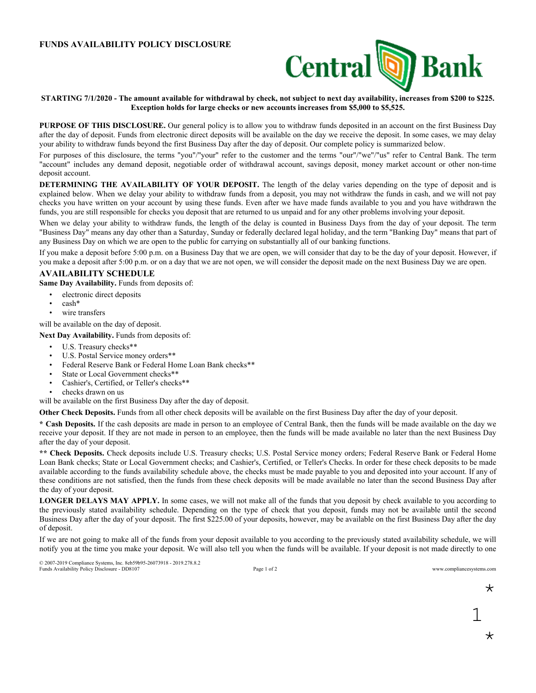## **FUNDS AVAILABILITY POLICY DISCLOSURE**



## STARTING 7/1/2020 - The amount available for withdrawal by check, not subject to next day availability, increases from \$200 to \$225. **Exception holds for large checks or new accounts increases from \$5,000 to \$5,525.**

**PURPOSE OF THIS DISCLOSURE.** Our general policy is to allow you to withdraw funds deposited in an account on the first Business Day after the day of deposit. Funds from electronic direct deposits will be available on the day we receive the deposit. In some cases, we may delay your ability to withdraw funds beyond the first Business Day after the day of deposit. Our complete policy is summarized below.

For purposes of this disclosure, the terms "you"/"your" refer to the customer and the terms "our"/"we"/"us" refer to Central Bank. The term "account" includes any demand deposit, negotiable order of withdrawal account, savings deposit, money market account or other non-time deposit account.

**DETERMINING THE AVAILABILITY OF YOUR DEPOSIT.** The length of the delay varies depending on the type of deposit and is explained below. When we delay your ability to withdraw funds from a deposit, you may not withdraw the funds in cash, and we will not pay checks you have written on your account by using these funds. Even after we have made funds available to you and you have withdrawn the funds, you are still responsible for checks you deposit that are returned to us unpaid and for any other problems involving your deposit.

When we delay your ability to withdraw funds, the length of the delay is counted in Business Days from the day of your deposit. The term "Business Day" means any day other than a Saturday, Sunday or federally declared legal holiday, and the term "Banking Day" means that part of any Business Day on which we are open to the public for carrying on substantially all of our banking functions.

If you make a deposit before 5:00 p.m. on a Business Day that we are open, we will consider that day to be the day of your deposit. However, if you make a deposit after 5:00 p.m. or on a day that we are not open, we will consider the deposit made on the next Business Day we are open.

## **AVAILABILITY SCHEDULE**

**Same Day Availability.** Funds from deposits of:

- electronic direct deposits
- cash\*
- wire transfers

will be available on the day of deposit.

**Next Day Availability.** Funds from deposits of:

- U.S. Treasury checks\*\*
- U.S. Postal Service money orders\*\*
- Federal Reserve Bank or Federal Home Loan Bank checks\*\*
- State or Local Government checks\*\*
- Cashier's, Certified, or Teller's checks\*\*
- checks drawn on us

will be available on the first Business Day after the day of deposit.

**Other Check Deposits.** Funds from all other check deposits will be available on the first Business Day after the day of your deposit.

**\* Cash Deposits.** If the cash deposits are made in person to an employee of Central Bank, then the funds will be made available on the day we receive your deposit. If they are not made in person to an employee, then the funds will be made available no later than the next Business Day after the day of your deposit.

**\*\* Check Deposits.** Check deposits include U.S. Treasury checks; U.S. Postal Service money orders; Federal Reserve Bank or Federal Home Loan Bank checks; State or Local Government checks; and Cashier's, Certified, or Teller's Checks. In order for these check deposits to be made available according to the funds availability schedule above, the checks must be made payable to you and deposited into your account. If any of these conditions are not satisfied, then the funds from these check deposits will be made available no later than the second Business Day after the day of your deposit.

**LONGER DELAYS MAY APPLY.** In some cases, we will not make all of the funds that you deposit by check available to you according to the previously stated availability schedule. Depending on the type of check that you deposit, funds may not be available until the second Business Day after the day of your deposit. The first \$225.00 of your deposits, however, may be available on the first Business Day after the day of deposit.

If we are not going to make all of the funds from your deposit available to you according to the previously stated availability schedule, we will notify you at the time you make your deposit. We will also tell you when the funds will be available. If your deposit is not made directly to one

© 2007-2019 Compliance Systems, Inc. 8eb59b95-26073918 - 2019.278.8.2 Funds Availability Policy Disclosure - DD8107 Page 1 of 2 Page 1 of 2 www.compliancesystems.com

\*

1